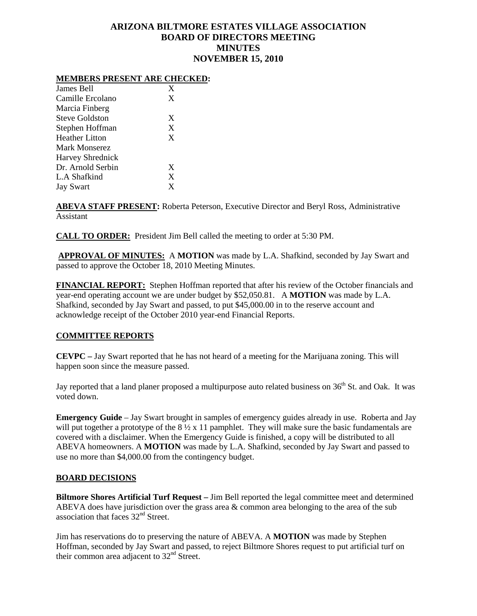# **ARIZONA BILTMORE ESTATES VILLAGE ASSOCIATION BOARD OF DIRECTORS MEETING MINUTES NOVEMBER 15, 2010**

#### **MEMBERS PRESENT ARE CHECKED:**

| James Bell              | X |
|-------------------------|---|
| Camille Ercolano        | X |
| Marcia Finberg          |   |
| Steve Goldston          | X |
| Stephen Hoffman         | X |
| <b>Heather Litton</b>   | X |
| Mark Monserez           |   |
| <b>Harvey Shrednick</b> |   |
| Dr. Arnold Serbin       | X |
| L.A Shafkind            | X |
| <b>Jay Swart</b>        | X |

**ABEVA STAFF PRESENT:** Roberta Peterson, Executive Director and Beryl Ross, Administrative Assistant

**CALL TO ORDER:** President Jim Bell called the meeting to order at 5:30 PM.

**APPROVAL OF MINUTES:** A **MOTION** was made by L.A. Shafkind, seconded by Jay Swart and passed to approve the October 18, 2010 Meeting Minutes.

**FINANCIAL REPORT:** Stephen Hoffman reported that after his review of the October financials and year-end operating account we are under budget by \$52,050.81. A **MOTION** was made by L.A. Shafkind, seconded by Jay Swart and passed, to put \$45,000.00 in to the reserve account and acknowledge receipt of the October 2010 year-end Financial Reports.

## **COMMITTEE REPORTS**

**CEVPC –** Jay Swart reported that he has not heard of a meeting for the Marijuana zoning. This will happen soon since the measure passed.

Jay reported that a land planer proposed a multipurpose auto related business on 36<sup>th</sup> St. and Oak. It was voted down.

**Emergency Guide** – Jay Swart brought in samples of emergency guides already in use. Roberta and Jay will put together a prototype of the  $8\frac{1}{2}$  x 11 pamphlet. They will make sure the basic fundamentals are covered with a disclaimer. When the Emergency Guide is finished, a copy will be distributed to all ABEVA homeowners. A **MOTION** was made by L.A. Shafkind, seconded by Jay Swart and passed to use no more than \$4,000.00 from the contingency budget.

#### **BOARD DECISIONS**

**Biltmore Shores Artificial Turf Request –** Jim Bell reported the legal committee meet and determined ABEVA does have jurisdiction over the grass area & common area belonging to the area of the sub association that faces  $32<sup>nd</sup>$  Street.

Jim has reservations do to preserving the nature of ABEVA. A **MOTION** was made by Stephen Hoffman, seconded by Jay Swart and passed, to reject Biltmore Shores request to put artificial turf on their common area adjacent to 32<sup>nd</sup> Street.